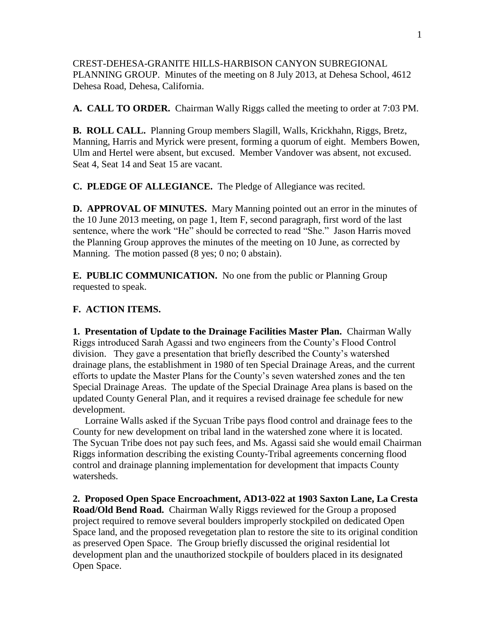CREST-DEHESA-GRANITE HILLS-HARBISON CANYON SUBREGIONAL PLANNING GROUP. Minutes of the meeting on 8 July 2013, at Dehesa School, 4612 Dehesa Road, Dehesa, California.

**A. CALL TO ORDER.** Chairman Wally Riggs called the meeting to order at 7:03 PM.

**B. ROLL CALL.** Planning Group members Slagill, Walls, Krickhahn, Riggs, Bretz, Manning, Harris and Myrick were present, forming a quorum of eight. Members Bowen, Ulm and Hertel were absent, but excused. Member Vandover was absent, not excused. Seat 4, Seat 14 and Seat 15 are vacant.

**C. PLEDGE OF ALLEGIANCE.** The Pledge of Allegiance was recited.

**D. APPROVAL OF MINUTES.** Mary Manning pointed out an error in the minutes of the 10 June 2013 meeting, on page 1, Item F, second paragraph, first word of the last sentence, where the work "He" should be corrected to read "She." Jason Harris moved the Planning Group approves the minutes of the meeting on 10 June, as corrected by Manning. The motion passed (8 yes; 0 no; 0 abstain).

**E. PUBLIC COMMUNICATION.** No one from the public or Planning Group requested to speak.

## **F. ACTION ITEMS.**

**1. Presentation of Update to the Drainage Facilities Master Plan.** Chairman Wally Riggs introduced Sarah Agassi and two engineers from the County's Flood Control division. They gave a presentation that briefly described the County's watershed drainage plans, the establishment in 1980 of ten Special Drainage Areas, and the current efforts to update the Master Plans for the County's seven watershed zones and the ten Special Drainage Areas. The update of the Special Drainage Area plans is based on the updated County General Plan, and it requires a revised drainage fee schedule for new development.

Lorraine Walls asked if the Sycuan Tribe pays flood control and drainage fees to the County for new development on tribal land in the watershed zone where it is located. The Sycuan Tribe does not pay such fees, and Ms. Agassi said she would email Chairman Riggs information describing the existing County-Tribal agreements concerning flood control and drainage planning implementation for development that impacts County watersheds.

**2. Proposed Open Space Encroachment, AD13-022 at 1903 Saxton Lane, La Cresta Road/Old Bend Road.** Chairman Wally Riggs reviewed for the Group a proposed project required to remove several boulders improperly stockpiled on dedicated Open Space land, and the proposed revegetation plan to restore the site to its original condition as preserved Open Space. The Group briefly discussed the original residential lot development plan and the unauthorized stockpile of boulders placed in its designated Open Space.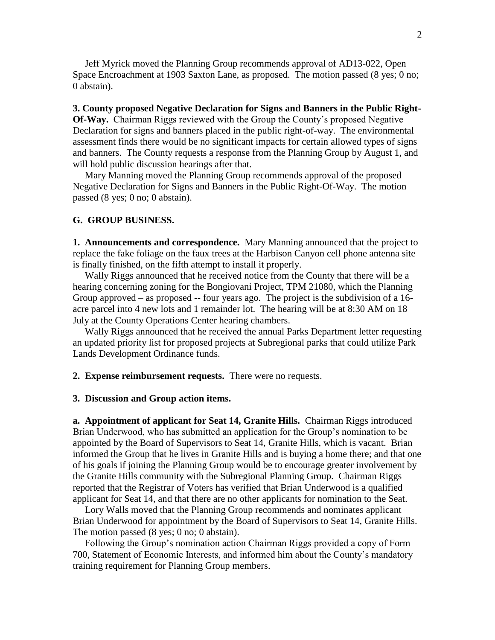Jeff Myrick moved the Planning Group recommends approval of AD13-022, Open Space Encroachment at 1903 Saxton Lane, as proposed. The motion passed (8 yes; 0 no; 0 abstain).

**3. County proposed Negative Declaration for Signs and Banners in the Public Right-Of-Way.** Chairman Riggs reviewed with the Group the County's proposed Negative Declaration for signs and banners placed in the public right-of-way. The environmental assessment finds there would be no significant impacts for certain allowed types of signs and banners. The County requests a response from the Planning Group by August 1, and will hold public discussion hearings after that.

 Mary Manning moved the Planning Group recommends approval of the proposed Negative Declaration for Signs and Banners in the Public Right-Of-Way. The motion passed (8 yes; 0 no; 0 abstain).

## **G. GROUP BUSINESS.**

**1. Announcements and correspondence.** Mary Manning announced that the project to replace the fake foliage on the faux trees at the Harbison Canyon cell phone antenna site is finally finished, on the fifth attempt to install it properly.

 Wally Riggs announced that he received notice from the County that there will be a hearing concerning zoning for the Bongiovani Project, TPM 21080, which the Planning Group approved – as proposed -- four years ago. The project is the subdivision of a 16 acre parcel into 4 new lots and 1 remainder lot. The hearing will be at 8:30 AM on 18 July at the County Operations Center hearing chambers.

 Wally Riggs announced that he received the annual Parks Department letter requesting an updated priority list for proposed projects at Subregional parks that could utilize Park Lands Development Ordinance funds.

**2. Expense reimbursement requests.** There were no requests.

## **3. Discussion and Group action items.**

**a. Appointment of applicant for Seat 14, Granite Hills.** Chairman Riggs introduced Brian Underwood, who has submitted an application for the Group's nomination to be appointed by the Board of Supervisors to Seat 14, Granite Hills, which is vacant. Brian informed the Group that he lives in Granite Hills and is buying a home there; and that one of his goals if joining the Planning Group would be to encourage greater involvement by the Granite Hills community with the Subregional Planning Group. Chairman Riggs reported that the Registrar of Voters has verified that Brian Underwood is a qualified applicant for Seat 14, and that there are no other applicants for nomination to the Seat.

 Lory Walls moved that the Planning Group recommends and nominates applicant Brian Underwood for appointment by the Board of Supervisors to Seat 14, Granite Hills. The motion passed (8 yes; 0 no; 0 abstain).

 Following the Group's nomination action Chairman Riggs provided a copy of Form 700, Statement of Economic Interests, and informed him about the County's mandatory training requirement for Planning Group members.